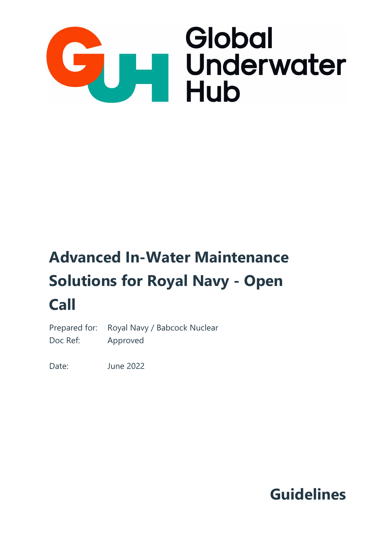

# **Advanced In-Water Maintenance Solutions for Royal Navy - Open Call**

Prepared for: Royal Navy / Babcock Nuclear Doc Ref: Approved

Date: June 2022

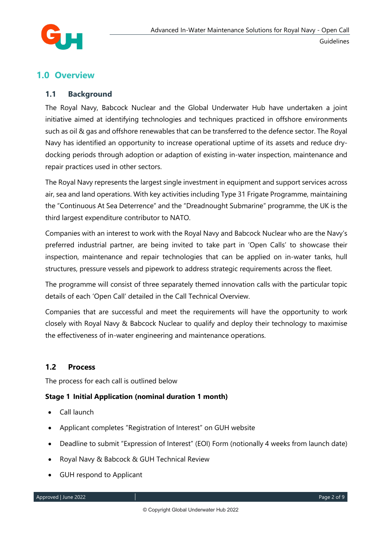

# **1.0 Overview**

# **1.1 Background**

The Royal Navy, Babcock Nuclear and the Global Underwater Hub have undertaken a joint initiative aimed at identifying technologies and techniques practiced in offshore environments such as oil & gas and offshore renewables that can be transferred to the defence sector. The Royal Navy has identified an opportunity to increase operational uptime of its assets and reduce drydocking periods through adoption or adaption of existing in-water inspection, maintenance and repair practices used in other sectors.

The Royal Navy represents the largest single investment in equipment and support services across air, sea and land operations. With key activities including Type 31 Frigate Programme, maintaining the "Continuous At Sea Deterrence" and the "Dreadnought Submarine" programme, the UK is the third largest expenditure contributor to NATO.

Companies with an interest to work with the Royal Navy and Babcock Nuclear who are the Navy's preferred industrial partner, are being invited to take part in 'Open Calls' to showcase their inspection, maintenance and repair technologies that can be applied on in-water tanks, hull structures, pressure vessels and pipework to address strategic requirements across the fleet.

The programme will consist of three separately themed innovation calls with the particular topic details of each 'Open Call' detailed in the Call Technical Overview.

Companies that are successful and meet the requirements will have the opportunity to work closely with Royal Navy & Babcock Nuclear to qualify and deploy their technology to maximise the effectiveness of in-water engineering and maintenance operations.

# **1.2 Process**

The process for each call is outlined below

## **Stage 1 Initial Application (nominal duration 1 month)**

- Call launch
- Applicant completes "Registration of Interest" on GUH website
- Deadline to submit "Expression of Interest" (EOI) Form (notionally 4 weeks from launch date)
- Royal Navy & Babcock & GUH Technical Review
- GUH respond to Applicant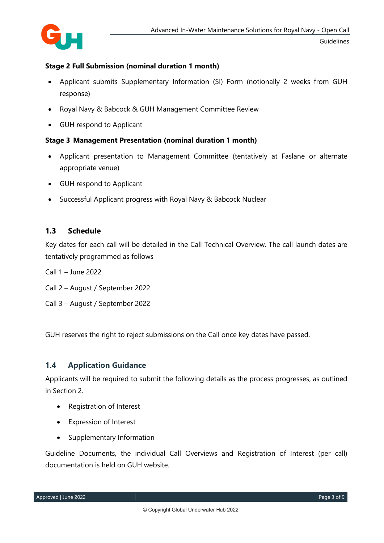

# **Stage 2 Full Submission (nominal duration 1 month)**

- Applicant submits Supplementary Information (SI) Form (notionally 2 weeks from GUH response)
- Royal Navy & Babcock & GUH Management Committee Review
- GUH respond to Applicant

## **Stage 3 Management Presentation (nominal duration 1 month)**

- Applicant presentation to Management Committee (tentatively at Faslane or alternate appropriate venue)
- GUH respond to Applicant
- Successful Applicant progress with Royal Navy & Babcock Nuclear

# **1.3 Schedule**

Key dates for each call will be detailed in the Call Technical Overview. The call launch dates are tentatively programmed as follows

- Call 1 June 2022
- Call 2 August / September 2022
- Call 3 August / September 2022

GUH reserves the right to reject submissions on the Call once key dates have passed.

# **1.4 Application Guidance**

Applicants will be required to submit the following details as the process progresses, as outlined in Section 2.

- Registration of Interest
- Expression of Interest
- Supplementary Information

Guideline Documents, the individual Call Overviews and Registration of Interest (per call) documentation is held on GUH website.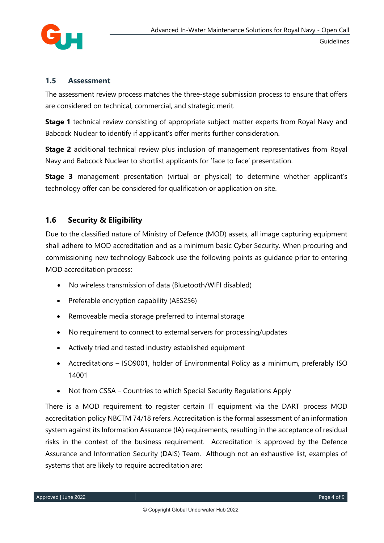

# **1.5 Assessment**

The assessment review process matches the three-stage submission process to ensure that offers are considered on technical, commercial, and strategic merit.

**Stage 1** technical review consisting of appropriate subject matter experts from Royal Navy and Babcock Nuclear to identify if applicant's offer merits further consideration.

**Stage 2** additional technical review plus inclusion of management representatives from Royal Navy and Babcock Nuclear to shortlist applicants for 'face to face' presentation.

**Stage 3** management presentation (virtual or physical) to determine whether applicant's technology offer can be considered for qualification or application on site.

# **1.6 Security & Eligibility**

Due to the classified nature of Ministry of Defence (MOD) assets, all image capturing equipment shall adhere to MOD accreditation and as a minimum basic Cyber Security. When procuring and commissioning new technology Babcock use the following points as guidance prior to entering MOD accreditation process:

- No wireless transmission of data (Bluetooth/WIFI disabled)
- Preferable encryption capability (AES256)
- Removeable media storage preferred to internal storage
- No requirement to connect to external servers for processing/updates
- Actively tried and tested industry established equipment
- Accreditations ISO9001, holder of Environmental Policy as a minimum, preferably ISO 14001
- Not from CSSA Countries to which Special Security Regulations Apply

There is a MOD requirement to register certain IT equipment via the DART process MOD accreditation policy NBCTM 74/18 refers. Accreditation is the formal assessment of an information system against its Information Assurance (IA) requirements, resulting in the acceptance of residual risks in the context of the business requirement. Accreditation is approved by the Defence Assurance and Information Security (DAIS) Team. Although not an exhaustive list, examples of systems that are likely to require accreditation are: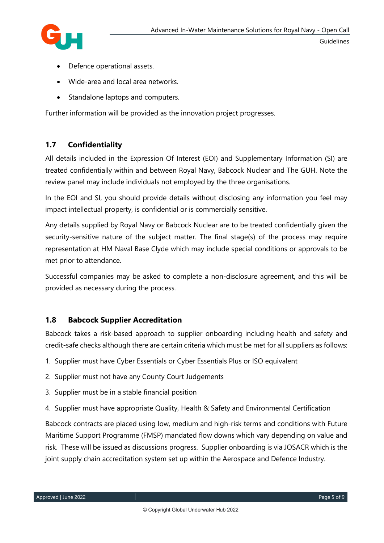

- Defence operational assets.
- Wide-area and local area networks.
- Standalone laptops and computers.

Further information will be provided as the innovation project progresses.

# **1.7 Confidentiality**

All details included in the Expression Of Interest (EOI) and Supplementary Information (SI) are treated confidentially within and between Royal Navy, Babcock Nuclear and The GUH. Note the review panel may include individuals not employed by the three organisations.

In the EOI and SI, you should provide details without disclosing any information you feel may impact intellectual property, is confidential or is commercially sensitive.

Any details supplied by Royal Navy or Babcock Nuclear are to be treated confidentially given the security-sensitive nature of the subject matter. The final stage(s) of the process may require representation at HM Naval Base Clyde which may include special conditions or approvals to be met prior to attendance.

Successful companies may be asked to complete a non-disclosure agreement, and this will be provided as necessary during the process.

# **1.8 Babcock Supplier Accreditation**

Babcock takes a risk-based approach to supplier onboarding including health and safety and credit-safe checks although there are certain criteria which must be met for all suppliers as follows:

- 1. Supplier must have Cyber Essentials or Cyber Essentials Plus or ISO equivalent
- 2. Supplier must not have any County Court Judgements
- 3. Supplier must be in a stable financial position
- 4. Supplier must have appropriate Quality, Health & Safety and Environmental Certification

Babcock contracts are placed using low, medium and high-risk terms and conditions with Future Maritime Support Programme (FMSP) mandated flow downs which vary depending on value and risk. These will be issued as discussions progress. Supplier onboarding is via JOSACR which is the joint supply chain accreditation system set up within the Aerospace and Defence Industry.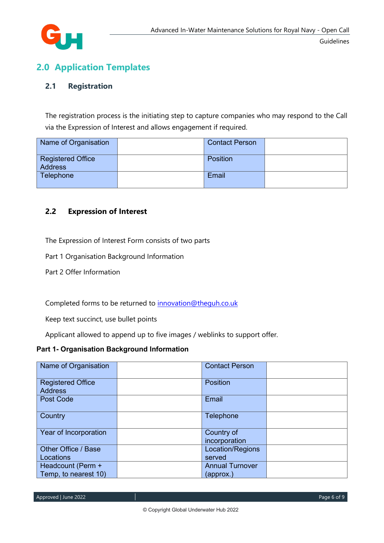

# **2.0 Application Templates**

# **2.1 Registration**

The registration process is the initiating step to capture companies who may respond to the Call via the Expression of Interest and allows engagement if required.

| Name of Organisation                       | <b>Contact Person</b> |  |
|--------------------------------------------|-----------------------|--|
| <b>Registered Office</b><br><b>Address</b> | <b>Position</b>       |  |
| Telephone                                  | Email                 |  |

# **2.2 Expression of Interest**

The Expression of Interest Form consists of two parts

Part 1 Organisation Background Information

Part 2 Offer Information

Completed forms to be returned to [innovation@theguh.co.uk](mailto:innovation@theguh.co.uk)

Keep text succinct, use bullet points

Applicant allowed to append up to five images / weblinks to support offer.

### **Part 1- Organisation Background Information**

| Name of Organisation                       | <b>Contact Person</b>       |  |
|--------------------------------------------|-----------------------------|--|
| <b>Registered Office</b><br><b>Address</b> | <b>Position</b>             |  |
| Post Code                                  | Email                       |  |
| Country                                    | Telephone                   |  |
| Year of Incorporation                      | Country of<br>incorporation |  |
| Other Office / Base<br>Locations           | Location/Regions<br>served  |  |
| Headcount (Perm +                          | <b>Annual Turnover</b>      |  |
| Temp, to nearest 10)                       | (approx.)                   |  |

Approved | June 2022 Page 6 of 9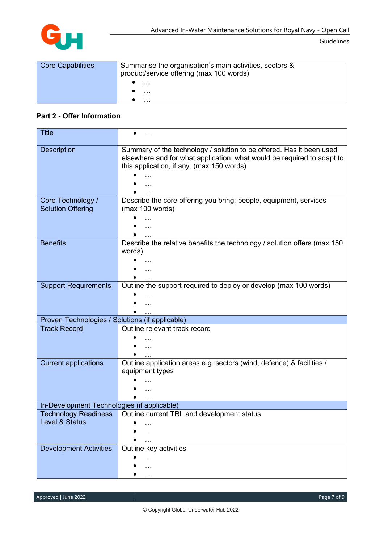

| <b>Core Capabilities</b> | Summarise the organisation's main activities, sectors &<br>product/service offering (max 100 words) |  |
|--------------------------|-----------------------------------------------------------------------------------------------------|--|
|                          | $\cdots$                                                                                            |  |
|                          | $\cdots$                                                                                            |  |
|                          | .                                                                                                   |  |

#### **Part 2 - Offer Information**

| Title                                           |                                                                                                                                                                                                          |
|-------------------------------------------------|----------------------------------------------------------------------------------------------------------------------------------------------------------------------------------------------------------|
| <b>Description</b>                              | Summary of the technology / solution to be offered. Has it been used<br>elsewhere and for what application, what would be required to adapt to<br>this application, if any. (max 150 words)<br>$\ddotsc$ |
|                                                 |                                                                                                                                                                                                          |
| Core Technology /<br><b>Solution Offering</b>   | Describe the core offering you bring; people, equipment, services<br>(max 100 words)                                                                                                                     |
|                                                 |                                                                                                                                                                                                          |
|                                                 |                                                                                                                                                                                                          |
| <b>Benefits</b>                                 | Describe the relative benefits the technology / solution offers (max 150<br>words)                                                                                                                       |
|                                                 |                                                                                                                                                                                                          |
|                                                 |                                                                                                                                                                                                          |
| <b>Support Requirements</b>                     | Outline the support required to deploy or develop (max 100 words)                                                                                                                                        |
|                                                 |                                                                                                                                                                                                          |
|                                                 |                                                                                                                                                                                                          |
| Proven Technologies / Solutions (if applicable) |                                                                                                                                                                                                          |
| <b>Track Record</b>                             | Outline relevant track record                                                                                                                                                                            |
|                                                 |                                                                                                                                                                                                          |
|                                                 | $\ddotsc$                                                                                                                                                                                                |
|                                                 |                                                                                                                                                                                                          |
| <b>Current applications</b>                     | Outline application areas e.g. sectors (wind, defence) & facilities /                                                                                                                                    |
|                                                 | equipment types                                                                                                                                                                                          |
|                                                 |                                                                                                                                                                                                          |
|                                                 |                                                                                                                                                                                                          |
| In-Development Technologies (if applicable)     |                                                                                                                                                                                                          |
| <b>Technology Readiness</b>                     | Outline current TRL and development status                                                                                                                                                               |
| Level & Status                                  |                                                                                                                                                                                                          |
|                                                 |                                                                                                                                                                                                          |
|                                                 |                                                                                                                                                                                                          |
| <b>Development Activities</b>                   | Outline key activities                                                                                                                                                                                   |
|                                                 |                                                                                                                                                                                                          |
|                                                 |                                                                                                                                                                                                          |
|                                                 |                                                                                                                                                                                                          |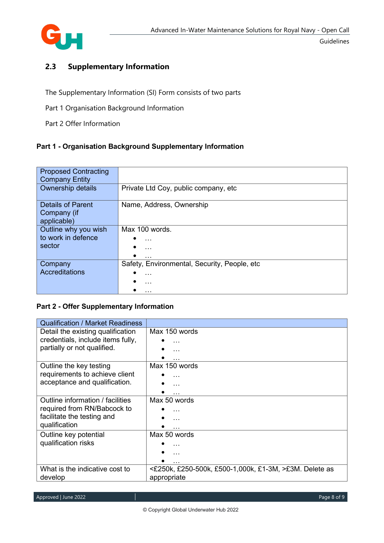

Guidelines

# **2.3 Supplementary Information**

The Supplementary Information (SI) Form consists of two parts

- Part 1 Organisation Background Information
- Part 2 Offer Information

# **Part 1 - Organisation Background Supplementary Information**

| <b>Proposed Contracting</b> |                                              |
|-----------------------------|----------------------------------------------|
|                             |                                              |
| <b>Company Entity</b>       |                                              |
| Ownership details           | Private Ltd Coy, public company, etc         |
|                             |                                              |
|                             |                                              |
| <b>Details of Parent</b>    | Name, Address, Ownership                     |
|                             |                                              |
| Company (if                 |                                              |
| applicable)                 |                                              |
| Outline why you wish        | Max 100 words.                               |
|                             |                                              |
| to work in defence          | $\cdots$                                     |
| sector                      |                                              |
|                             | $\cdots$                                     |
|                             | $\cdots$                                     |
| Company                     | Safety, Environmental, Security, People, etc |
|                             |                                              |
| Accreditations              | $\cdots$                                     |
|                             | $\cdots$                                     |
|                             |                                              |
|                             | $\cdots$                                     |

### **Part 2 - Offer Supplementary Information**

| <b>Qualification / Market Readiness</b> |                                                        |
|-----------------------------------------|--------------------------------------------------------|
| Detail the existing qualification       | Max 150 words                                          |
| credentials, include items fully,       |                                                        |
| partially or not qualified.             |                                                        |
|                                         |                                                        |
| Outline the key testing                 | Max 150 words                                          |
| requirements to achieve client          |                                                        |
| acceptance and qualification.           |                                                        |
|                                         |                                                        |
| Outline information / facilities        | Max 50 words                                           |
| required from RN/Babcock to             |                                                        |
| facilitate the testing and              | $\ldots$                                               |
| qualification                           |                                                        |
| Outline key potential                   | Max 50 words                                           |
| qualification risks                     | $\cdots$                                               |
|                                         | $\ddotsc$                                              |
|                                         | $\cdots$                                               |
| What is the indicative cost to          | <£250k, £250-500k, £500-1,000k, £1-3M, >£3M. Delete as |
| develop                                 | appropriate                                            |